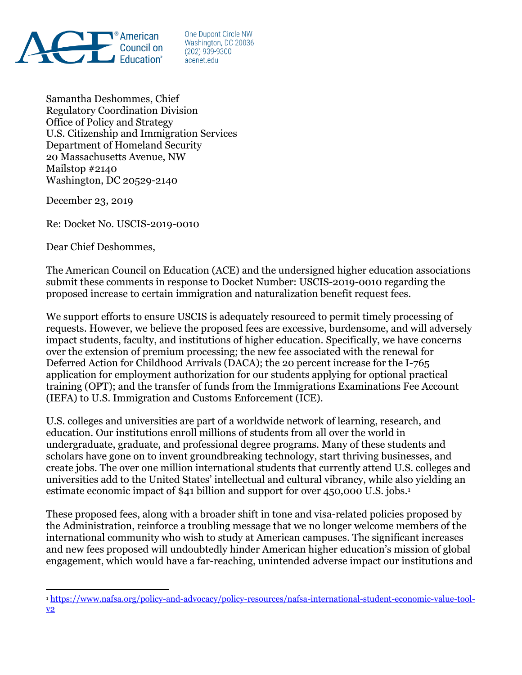

One Dupont Circle NW Washington, DC 20036  $(202)$  939-9300 acenet.edu

Samantha Deshommes, Chief Regulatory Coordination Division Office of Policy and Strategy U.S. Citizenship and Immigration Services Department of Homeland Security 20 Massachusetts Avenue, NW Mailstop #2140 Washington, DC 20529-2140

December 23, 2019

 $\overline{a}$ 

Re: Docket No. USCIS-2019-0010

Dear Chief Deshommes,

The American Council on Education (ACE) and the undersigned higher education associations submit these comments in response to Docket Number: USCIS-2019-0010 regarding the proposed increase to certain immigration and naturalization benefit request fees.

We support efforts to ensure USCIS is adequately resourced to permit timely processing of requests. However, we believe the proposed fees are excessive, burdensome, and will adversely impact students, faculty, and institutions of higher education. Specifically, we have concerns over the extension of premium processing; the new fee associated with the renewal for Deferred Action for Childhood Arrivals (DACA); the 20 percent increase for the I-765 application for employment authorization for our students applying for optional practical training (OPT); and the transfer of funds from the Immigrations Examinations Fee Account (IEFA) to U.S. Immigration and Customs Enforcement (ICE).

U.S. colleges and universities are part of a worldwide network of learning, research, and education. Our institutions enroll millions of students from all over the world in undergraduate, graduate, and professional degree programs. Many of these students and scholars have gone on to invent groundbreaking technology, start thriving businesses, and create jobs. The over one million international students that currently attend U.S. colleges and universities add to the United States' intellectual and cultural vibrancy, while also yielding an estimate economic impact of \$41 billion and support for over 450,000 U.S. jobs. 1

These proposed fees, along with a broader shift in tone and visa-related policies proposed by the Administration, reinforce a troubling message that we no longer welcome members of the international community who wish to study at American campuses. The significant increases and new fees proposed will undoubtedly hinder American higher education's mission of global engagement, which would have a far-reaching, unintended adverse impact our institutions and

<sup>1</sup> [https://www.nafsa.org/policy-and-advocacy/policy-resources/nafsa-international-student-economic-value-tool](https://www.nafsa.org/policy-and-advocacy/policy-resources/nafsa-international-student-economic-value-tool-v2)[v2](https://www.nafsa.org/policy-and-advocacy/policy-resources/nafsa-international-student-economic-value-tool-v2)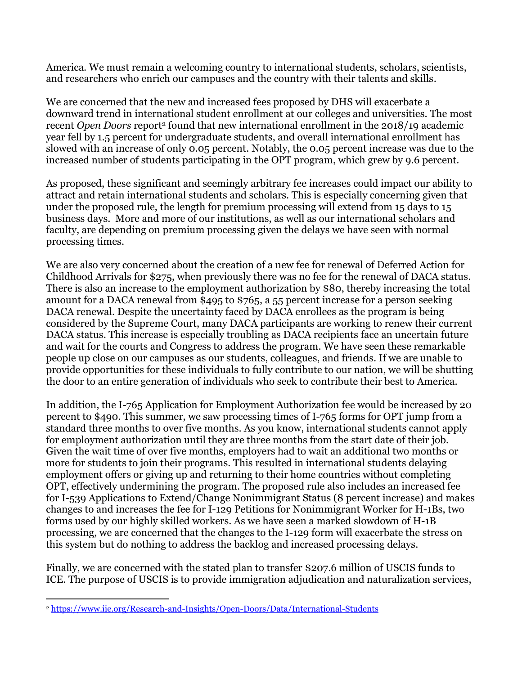America. We must remain a welcoming country to international students, scholars, scientists, and researchers who enrich our campuses and the country with their talents and skills.

We are concerned that the new and increased fees proposed by DHS will exacerbate a downward trend in international student enrollment at our colleges and universities. The most recent *Open Doors* report<sup>2</sup> found that new international enrollment in the 2018/19 academic year fell by 1.5 percent for undergraduate students, and overall international enrollment has slowed with an increase of only 0.05 percent. Notably, the 0.05 percent increase was due to the increased number of students participating in the OPT program, which grew by 9.6 percent.

As proposed, these significant and seemingly arbitrary fee increases could impact our ability to attract and retain international students and scholars. This is especially concerning given that under the proposed rule, the length for premium processing will extend from 15 days to 15 business days. More and more of our institutions, as well as our international scholars and faculty, are depending on premium processing given the delays we have seen with normal processing times.

We are also very concerned about the creation of a new fee for renewal of Deferred Action for Childhood Arrivals for \$275, when previously there was no fee for the renewal of DACA status. There is also an increase to the employment authorization by \$80, thereby increasing the total amount for a DACA renewal from \$495 to \$765, a 55 percent increase for a person seeking DACA renewal. Despite the uncertainty faced by DACA enrollees as the program is being considered by the Supreme Court, many DACA participants are working to renew their current DACA status. This increase is especially troubling as DACA recipients face an uncertain future and wait for the courts and Congress to address the program. We have seen these remarkable people up close on our campuses as our students, colleagues, and friends. If we are unable to provide opportunities for these individuals to fully contribute to our nation, we will be shutting the door to an entire generation of individuals who seek to contribute their best to America.

In addition, the I-765 Application for Employment Authorization fee would be increased by 20 percent to \$490. This summer, we saw processing times of I-765 forms for OPT jump from a standard three months to over five months. As you know, international students cannot apply for employment authorization until they are three months from the start date of their job. Given the wait time of over five months, employers had to wait an additional two months or more for students to join their programs. This resulted in international students delaying employment offers or giving up and returning to their home countries without completing OPT, effectively undermining the program. The proposed rule also includes an increased fee for I-539 Applications to Extend/Change Nonimmigrant Status (8 percent increase) and makes changes to and increases the fee for I-129 Petitions for Nonimmigrant Worker for H-1Bs, two forms used by our highly skilled workers. As we have seen a marked slowdown of H-1B processing, we are concerned that the changes to the I-129 form will exacerbate the stress on this system but do nothing to address the backlog and increased processing delays.

Finally, we are concerned with the stated plan to transfer \$207.6 million of USCIS funds to ICE. The purpose of USCIS is to provide immigration adjudication and naturalization services,

 $\overline{a}$ <sup>2</sup> <https://www.iie.org/Research-and-Insights/Open-Doors/Data/International-Students>